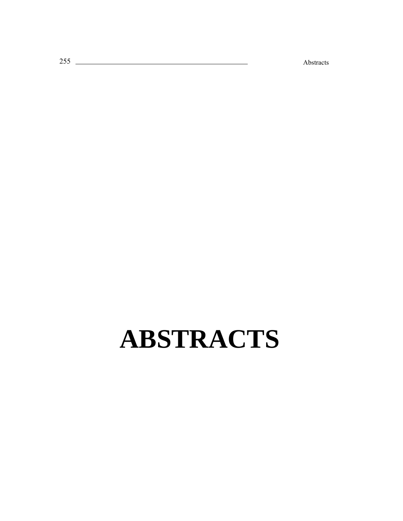ś Abstracts

# **ABSTRACTS**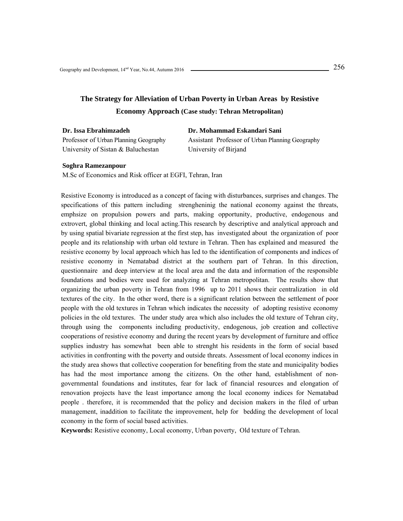# **The Strategy for Alleviation of Urban Poverty in Urban Areas by Resistive Economy Approach (Case study: Tehran Metropolitan)**

| Dr. Issa Ebrahimzadeh                 | Dr. Mohammad Eskandari Sani                     |
|---------------------------------------|-------------------------------------------------|
| Professor of Urban Planning Geography | Assistant Professor of Urban Planning Geography |
| University of Sistan & Baluchestan    | University of Birjand                           |

#### **Soghra Ramezanpour**

M.Sc of Economics and Risk officer at EGFI, Tehran, Iran

Resistive Economy is introduced as a concept of facing with disturbances, surprises and changes. The specifications of this pattern including strengheninig the national economy against the threats, emphsize on propulsion powers and parts, making opportunity, productive, endogenous and extrovert, global thinking and local acting.This research by descriptive and analytical approach and by using spatial bivariate regression at the first step, has investigated about the organization of poor people and its relationship with urban old texture in Tehran. Then has explained and measured the resistive economy by local approach which has led to the identification of components and indices of resistive economy in Nematabad district at the southern part of Tehran. In this direction, questionnaire and deep interview at the local area and the data and information of the responsible foundations and bodies were used for analyzing at Tehran metropolitan. The results show that organizing the urban poverty in Tehran from 1996 up to 2011 shows their centralization in old textures of the city. In the other word, there is a significant relation between the settlement of poor people with the old textures in Tehran which indicates the necessity of adopting resistive economy policies in the old textures. The under study area which also includes the old texture of Tehran city, through using the components including productivity, endogenous, job creation and collective cooperations of resistive economy and during the recent years by development of furniture and office supplies industry has somewhat been able to strenght his residents in the form of social based activities in confronting with the poverty and outside threats. Assessment of local economy indices in the study area shows that collective cooperation for benefiting from the state and municipality bodies has had the most importance among the citizens. On the other hand, establishment of nongovernmental foundations and institutes, fear for lack of financial resources and elongation of renovation projects have the least importance among the local economy indices for Nematabad people . therefore, it is recommended that the policy and decision makers in the filed of urban management, inaddition to facilitate the improvement, help for bedding the development of local economy in the form of social based activities.

**Keywords:** Resistive economy, Local economy, Urban poverty, Old texture of Tehran.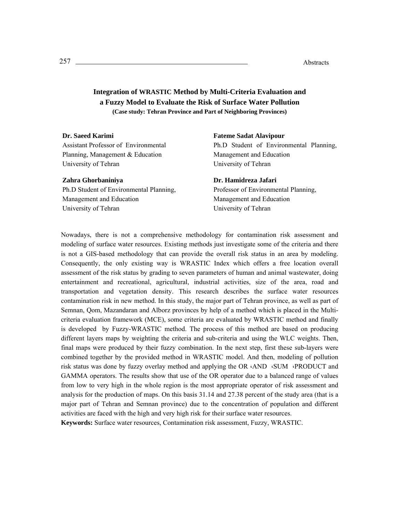## **Integration of WRASTIC Method by Multi-Criteria Evaluation and a Fuzzy Model to Evaluate the Risk of Surface Water Pollution (Case study: Tehran Province and Part of Neighboring Provinces)**

## **Dr. Saeed Karimi**

Assistant Professor of Environmental Planning, Management & Education University of Tehran

#### **Zahra Ghorbaniniya**

Ph.D Student of Environmental Planning, Management and Education University of Tehran

**Fateme Sadat Alavipour**  Ph.D Student of Environmental Planning, Management and Education University of Tehran

**Dr. Hamidreza Jafari**  Professor of Environmental Planning, Management and Education University of Tehran

Nowadays, there is not a comprehensive methodology for contamination risk assessment and modeling of surface water resources. Existing methods just investigate some of the criteria and there is not a GIS-based methodology that can provide the overall risk status in an area by modeling. Consequently, the only existing way is WRASTIC Index which offers a free location overall assessment of the risk status by grading to seven parameters of human and animal wastewater, doing entertainment and recreational, agricultural, industrial activities, size of the area, road and transportation and vegetation density. This research describes the surface water resources contamination risk in new method. In this study, the major part of Tehran province, as well as part of Semnan, Qom, Mazandaran and Alborz provinces by help of a method which is placed in the Multicriteria evaluation framework (MCE), some criteria are evaluated by WRASTIC method and finally is developed by Fuzzy-WRASTIC method. The process of this method are based on producing different layers maps by weighting the criteria and sub-criteria and using the WLC weights. Then, final maps were produced by their fuzzy combination. In the next step, first these sub-layers were combined together by the provided method in WRASTIC model. And then, modeling of pollution risk status was done by fuzzy overlay method and applying the OR  $\cdot$ AND  $\cdot$ SUM  $\cdot$ PRODUCT and GAMMA operators. The results show that use of the OR operator due to a balanced range of values from low to very high in the whole region is the most appropriate operator of risk assessment and analysis for the production of maps. On this basis 31.14 and 27.38 percent of the study area (that is a major part of Tehran and Semnan province) due to the concentration of population and different activities are faced with the high and very high risk for their surface water resources.

**Keywords:** Surface water resources, Contamination risk assessment, Fuzzy, WRASTIC.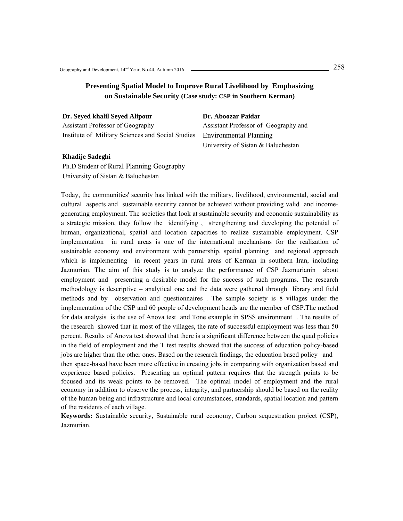## **Presenting Spatial Model to Improve Rural Livelihood by Emphasizing on Sustainable Security (Case study: CSP in Southern Kerman)**

**Dr. Seyed khalil Seyed Alipour**  Assistant Professor of Geography Institute of Military Sciences and Social Studies

**Dr. Aboozar Paidar**  Assistant Professor of Geography and Environmental Planning University of Sistan & Baluchestan

#### **Khadije Sadeghi**

Ph.D Student of Rural Planning Geography University of Sistan & Baluchestan

Today, the communities' security has linked with the military, livelihood, environmental, social and cultural aspects and sustainable security cannot be achieved without providing valid and incomegenerating employment. The societies that look at sustainable security and economic sustainability as a strategic mission, they follow the identifying , strengthening and developing the potential of human, organizational, spatial and location capacities to realize sustainable employment. CSP implementation in rural areas is one of the international mechanisms for the realization of sustainable economy and environment with partnership, spatial planning and regional approach which is implementing in recent years in rural areas of Kerman in southern Iran, including Jazmurian. The aim of this study is to analyze the performance of CSP Jazmurianin about employment and presenting a desirable model for the success of such programs. The research methodology is descriptive – analytical one and the data were gathered through library and field methods and by observation and questionnaires . The sample society is 8 villages under the implementation of the CSP and 60 people of development heads are the member of CSP.The method for data analysis is the use of Anova test and Tone example in SPSS environment . The results of the research showed that in most of the villages, the rate of successful employment was less than 50 percent. Results of Anova test showed that there is a significant difference between the quad policies in the field of employment and the T test results showed that the success of education policy-based jobs are higher than the other ones. Based on the research findings, the education based policy and then space-based have been more effective in creating jobs in comparing with organization based and experience based policies. Presenting an optimal pattern requires that the strength points to be focused and its weak points to be removed. The optimal model of employment and the rural economy in addition to observe the process, integrity, and partnership should be based on the reality of the human being and infrastructure and local circumstances, standards, spatial location and pattern of the residents of each village.

**Keywords:** Sustainable security, Sustainable rural economy, Carbon sequestration project (CSP), Jazmurian.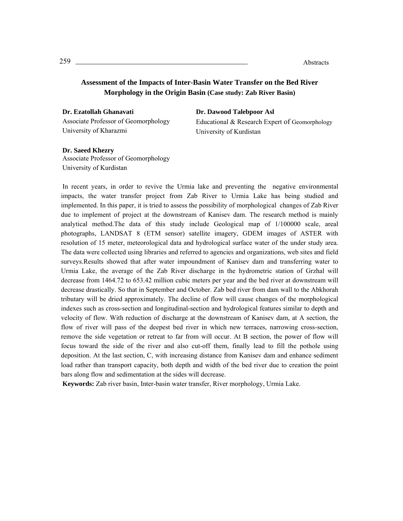## **Assessment of the Impacts of Inter-Basin Water Transfer on the Bed River Morphology in the Origin Basin (Case study: Zab River Basin)**

**Dr. Ezatollah Ghanavati**  Associate Professor of Geomorphology University of Kharazmi

#### **Dr. Dawood Talebpoor Asl**

Educational & Research Expert of Geomorphology University of Kurdistan

**Dr. Saeed Khezry**  Associate Professor of Geomorphology

University of Kurdistan

In recent years, in order to revive the Urmia lake and preventing the negative environmental impacts, the water transfer project from Zab River to Urmia Lake has being studied and implemented. In this paper, it is tried to assess the possibility of morphological changes of Zab River due to implement of project at the downstream of Kanisev dam. The research method is mainly analytical method.The data of this study include Geological map of 1/100000 scale, areal photographs, LANDSAT 8 (ETM sensor) satellite imagery, GDEM images of ASTER with resolution of 15 meter, meteorological data and hydrological surface water of the under study area. The data were collected using libraries and referred to agencies and organizations, web sites and field surveys.Results showed that after water impoundment of Kanisev dam and transferring water to Urmia Lake, the average of the Zab River discharge in the hydrometric station of Grzhal will decrease from 1464.72 to 653.42 million cubic meters per year and the bed river at downstream will decrease drastically. So that in September and October. Zab bed river from dam wall to the Abkhorah tributary will be dried approximately. The decline of flow will cause changes of the morphological indexes such as cross-section and longitudinal-section and hydrological features similar to depth and velocity of flow. With reduction of discharge at the downstream of Kanisev dam, at A section, the flow of river will pass of the deepest bed river in which new terraces, narrowing cross-section, remove the side vegetation or retreat to far from will occur. At B section, the power of flow will focus toward the side of the river and also cut-off them, finally lead to fill the pothole using deposition. At the last section, C, with increasing distance from Kanisev dam and enhance sediment load rather than transport capacity, both depth and width of the bed river due to creation the point bars along flow and sedimentation at the sides will decrease.

**Keywords:** Zab river basin, Inter-basin water transfer, River morphology, Urmia Lake.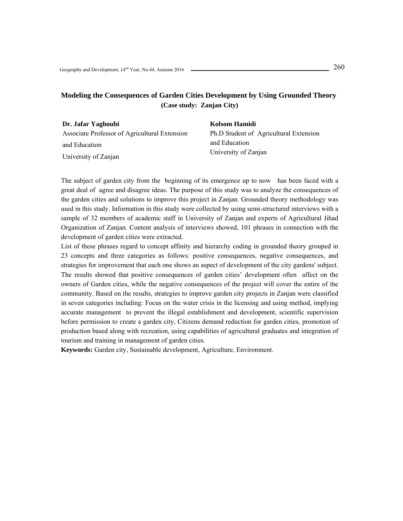## **Modeling the Consequences of Garden Cities Development by Using Grounded Theory (Case study: Zanjan City)**

| Dr. Jafar Yaghoubi                            | Kolsom Hamidi                          |  |
|-----------------------------------------------|----------------------------------------|--|
| Associate Professor of Agricultural Extension | Ph.D Student of Agricultural Extension |  |
| and Education                                 | and Education                          |  |
| University of Zanjan                          | University of Zanjan                   |  |

The subject of garden city from the beginning of its emergence up to now has been faced with a great deal of agree and disagree ideas. The purpose of this study was to analyze the consequences of the garden cities and solutions to improve this project in Zanjan. Grounded theory methodology was used in this study. Information in this study were collected by using semi-structured interviews with a sample of 32 members of academic staff in University of Zanjan and experts of Agricultural Jihad Organization of Zanjan. Content analysis of interviews showed, 101 phrases in connection with the development of garden cities were extracted.

List of these phrases regard to concept affinity and hierarchy coding in grounded theory grouped in 23 concepts and three categories as follows: positive consequences, negative consequences, and strategies for improvement that each one shows an aspect of development of the city gardens' subject. The results showed that positive consequences of garden cities' development often affect on the owners of Garden cities, while the negative consequences of the project will cover the entire of the community. Based on the results, strategies to improve garden city projects in Zanjan were classified in seven categories including: Focus on the water crisis in the licensing and using method, implying accurate management to prevent the illegal establishment and development, scientific supervision before permission to create a garden city, Citizens demand reduction for garden cities, promotion of production based along with recreation, using capabilities of agricultural graduates and integration of tourism and training in management of garden cities.

**Keywords:** Garden city, Sustainable development, Agriculture, Environment.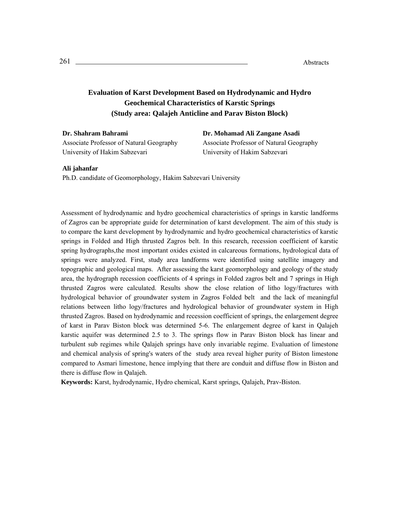# **Evaluation of Karst Development Based on Hydrodynamic and Hydro Geochemical Characteristics of Karstic Springs (Study area: Qalajeh Anticline and Parav Biston Block)**

**Dr. Shahram Bahrami**  Associate Professor of Natural Geography University of Hakim Sabzevari

**Dr. Mohamad Ali Zangane Asadi**  Associate Professor of Natural Geography University of Hakim Sabzevari

#### **Ali jahanfar**

Ph.D. candidate of Geomorphology, Hakim Sabzevari University

Assessment of hydrodynamic and hydro geochemical characteristics of springs in karstic landforms of Zagros can be appropriate guide for determination of karst development. The aim of this study is to compare the karst development by hydrodynamic and hydro geochemical characteristics of karstic springs in Folded and High thrusted Zagros belt. In this research, recession coefficient of karstic spring hydrographs,the most important oxides existed in calcareous formations, hydrological data of springs were analyzed. First, study area landforms were identified using satellite imagery and topographic and geological maps. After assessing the karst geomorphology and geology of the study area, the hydrograph recession coefficients of 4 springs in Folded zagros belt and 7 springs in High thrusted Zagros were calculated. Results show the close relation of litho logy/fractures with hydrological behavior of groundwater system in Zagros Folded belt and the lack of meaningful relations between litho logy/fractures and hydrological behavior of groundwater system in High thrusted Zagros. Based on hydrodynamic and recession coefficient of springs, the enlargement degree of karst in Parav Biston block was determined 5-6. The enlargement degree of karst in Qalajeh karstic aquifer was determined 2.5 to 3. The springs flow in Parav Biston block has linear and turbulent sub regimes while Qalajeh springs have only invariable regime. Evaluation of limestone and chemical analysis of spring's waters of the study area reveal higher purity of Biston limestone compared to Asmari limestone, hence implying that there are conduit and diffuse flow in Biston and there is diffuse flow in Qalajeh.

**Keywords:** Karst, hydrodynamic, Hydro chemical, Karst springs, Qalajeh, Prav-Biston.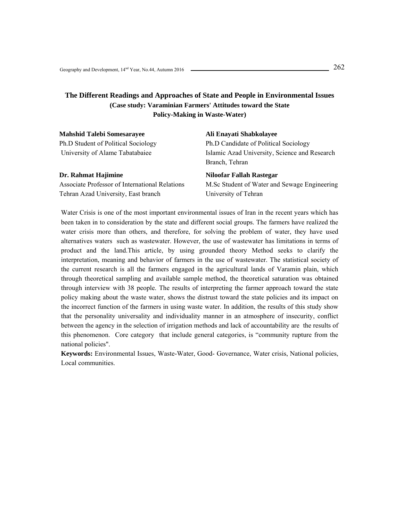## **The Different Readings and Approaches of State and People in Environmental Issues (Case study: Varaminian Farmers' Attitudes toward the State Policy-Making in Waste-Water)**

| Ali Enayati Shabkolayee                       |
|-----------------------------------------------|
| Ph.D Candidate of Political Sociology         |
| Islamic Azad University, Science and Research |
| Branch, Tehran                                |
| Niloofar Fallah Rastegar                      |
| M.Sc Student of Water and Sewage Engineering  |
| University of Tehran                          |
|                                               |

Water Crisis is one of the most important environmental issues of Iran in the recent years which has been taken in to consideration by the state and different social groups. The farmers have realized the water crisis more than others, and therefore, for solving the problem of water, they have used alternatives waters such as wastewater. However, the use of wastewater has limitations in terms of product and the land.This article, by using grounded theory Method seeks to clarify the interpretation, meaning and behavior of farmers in the use of wastewater. The statistical society of the current research is all the farmers engaged in the agricultural lands of Varamin plain, which through theoretical sampling and available sample method, the theoretical saturation was obtained through interview with 38 people. The results of interpreting the farmer approach toward the state policy making about the waste water, shows the distrust toward the state policies and its impact on the incorrect function of the farmers in using waste water. In addition, the results of this study show that the personality universality and individuality manner in an atmosphere of insecurity, conflict between the agency in the selection of irrigation methods and lack of accountability are the results of this phenomenon. Core category that include general categories, is "community rupture from the national policies".

**Keywords:** Environmental Issues, Waste-Water, Good- Governance, Water crisis, National policies, Local communities.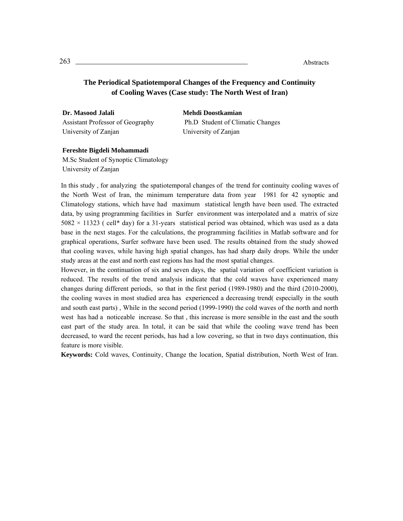## **The Periodical Spatiotemporal Changes of the Frequency and Continuity of Cooling Waves (Case study: The North West of Iran)**

**Dr. Masood Jalali** Assistant Professor of Geography University of Zanjan

**Mehdi Doostkamian** Ph.D Student of Climatic Changes University of Zanjan

## **Fereshte Bigdeli Mohammadi**

M.Sc Student of Synoptic Climatology University of Zanjan

In this study , for analyzing the spatiotemporal changes of the trend for continuity cooling waves of the North West of Iran, the minimum temperature data from year 1981 for 42 synoptic and Climatology stations, which have had maximum statistical length have been used. The extracted data, by using programming facilities in Surfer environment was interpolated and a matrix of size  $5082 \times 11323$  ( cell\* day) for a 31-years statistical period was obtained, which was used as a data base in the next stages. For the calculations, the programming facilities in Matlab software and for graphical operations, Surfer software have been used. The results obtained from the study showed that cooling waves, while having high spatial changes, has had sharp daily drops. While the under study areas at the east and north east regions has had the most spatial changes.

However, in the continuation of six and seven days, the spatial variation of coefficient variation is reduced. The results of the trend analysis indicate that the cold waves have experienced many changes during different periods, so that in the first period (1989-1980) and the third (2010-2000), the cooling waves in most studied area has experienced a decreasing trend( especially in the south and south east parts) , While in the second period (1999-1990) the cold waves of the north and north west has had a noticeable increase. So that , this increase is more sensible in the east and the south east part of the study area. In total, it can be said that while the cooling wave trend has been decreased, to ward the recent periods, has had a low covering, so that in two days continuation, this feature is more visible.

**Keywords:** Cold waves, Continuity, Change the location, Spatial distribution, North West of Iran.

<sup>263</sup>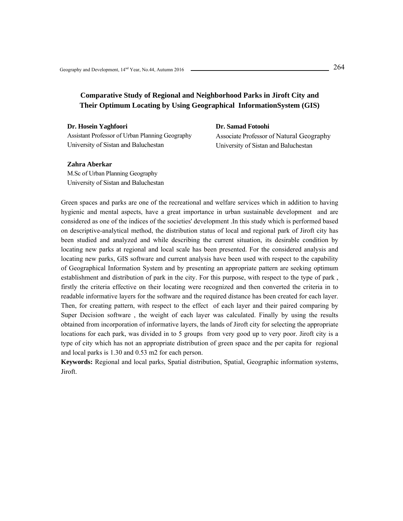# **Comparative Study of Regional and Neighborhood Parks in Jiroft City and Their Optimum Locating by Using Geographical InformationSystem (GIS)**

**Dr. Hosein Yaghfoori** 

Assistant Professor of Urban Planning Geography University of Sistan and Baluchestan

**Dr. Samad Fotoohi** 

Associate Professor of Natural Geography University of Sistan and Baluchestan

#### **Zahra Aberkar**

M.Sc of Urban Planning Geography University of Sistan and Baluchestan

Green spaces and parks are one of the recreational and welfare services which in addition to having hygienic and mental aspects, have a great importance in urban sustainable development and are considered as one of the indices of the societies' development .In this study which is performed based on descriptive-analytical method, the distribution status of local and regional park of Jiroft city has been studied and analyzed and while describing the current situation, its desirable condition by locating new parks at regional and local scale has been presented. For the considered analysis and locating new parks, GIS software and current analysis have been used with respect to the capability of Geographical Information System and by presenting an appropriate pattern are seeking optimum establishment and distribution of park in the city. For this purpose, with respect to the type of park , firstly the criteria effective on their locating were recognized and then converted the criteria in to readable informative layers for the software and the required distance has been created for each layer. Then, for creating pattern, with respect to the effect of each layer and their paired comparing by Super Decision software , the weight of each layer was calculated. Finally by using the results obtained from incorporation of informative layers, the lands of Jiroft city for selecting the appropriate locations for each park, was divided in to 5 groups from very good up to very poor. Jiroft city is a type of city which has not an appropriate distribution of green space and the per capita for regional and local parks is 1.30 and 0.53 m2 for each person.

**Keywords:** Regional and local parks, Spatial distribution, Spatial, Geographic information systems, Jiroft.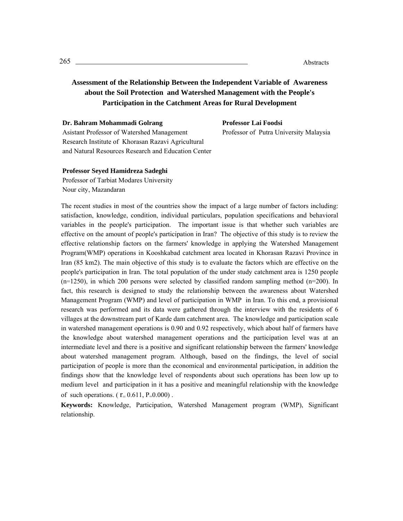# **Assessment of the Relationship Between the Independent Variable of Awareness about the Soil Protection and Watershed Management with the People's Participation in the Catchment Areas for Rural Development**

|  |  | Dr. Bahram Mohammadi Golrang |  |
|--|--|------------------------------|--|
|--|--|------------------------------|--|

**Professor Lai Foodsi**

Asistant Professor of Watershed Management Research Institute of Khorasan Razavi Agricultural and Natural Resources Research and Education Center Professor of Putra University Malaysia

#### **Professor Seyed Hamidreza Sadeghi**

Professor of Tarbiat Modares University Nour city, Mazandaran

The recent studies in most of the countries show the impact of a large number of factors including: satisfaction, knowledge, condition, individual particulars, population specifications and behavioral variables in the people's participation. The important issue is that whether such variables are effective on the amount of people's participation in Iran? The objective of this study is to review the effective relationship factors on the farmers' knowledge in applying the Watershed Management Program(WMP) operations in Kooshkabad catchment area located in Khorasan Razavi Province in Iran (85 km2). The main objective of this study is to evaluate the factors which are effective on the people's participation in Iran. The total population of the under study catchment area is 1250 people  $(n=1250)$ , in which 200 persons were selected by classified random sampling method  $(n=200)$ . In fact, this research is designed to study the relationship between the awareness about Watershed Management Program (WMP) and level of participation in WMP in Iran. To this end, a provisional research was performed and its data were gathered through the interview with the residents of 6 villages at the downstream part of Karde dam catchment area. The knowledge and participation scale in watershed management operations is 0.90 and 0.92 respectively, which about half of farmers have the knowledge about watershed management operations and the participation level was at an intermediate level and there is a positive and significant relationship between the farmers' knowledge about watershed management program. Although, based on the findings, the level of social participation of people is more than the economical and environmental participation, in addition the findings show that the knowledge level of respondents about such operations has been low up to medium level and participation in it has a positive and meaningful relationship with the knowledge of such operations. ( $r = 0.611$ ,  $P=0.000$ ).

**Keywords:** Knowledge, Participation, Watershed Management program (WMP), Significant relationship.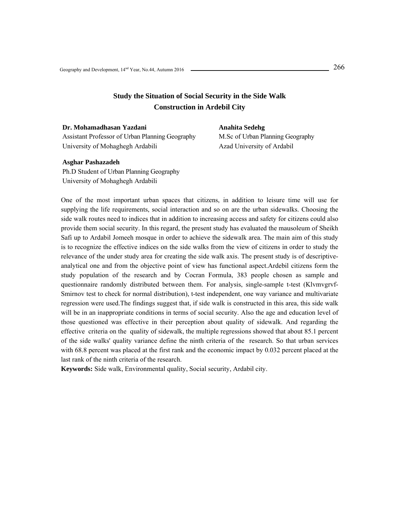## **Study the Situation of Social Security in the Side Walk Construction in Ardebil City**

**Dr. Mohamadhasan Yazdani**  Assistant Professor of Urban Planning Geography University of Mohaghegh Ardabili

## **Anahita Sedehg**

M.Sc of Urban Planning Geography Azad University of Ardabil

## **Asghar Pashazadeh**

Ph.D Student of Urban Planning Geography University of Mohaghegh Ardabili

One of the most important urban spaces that citizens, in addition to leisure time will use for supplying the life requirements, social interaction and so on are the urban sidewalks. Choosing the side walk routes need to indices that in addition to increasing access and safety for citizens could also provide them social security. In this regard, the present study has evaluated the mausoleum of Sheikh Safi up to Ardabil Jomeeh mosque in order to achieve the sidewalk area. The main aim of this study is to recognize the effective indices on the side walks from the view of citizens in order to study the relevance of the under study area for creating the side walk axis. The present study is of descriptiveanalytical one and from the objective point of view has functional aspect.Ardebil citizens form the study population of the research and by Cocran Formula, 383 people chosen as sample and questionnaire randomly distributed between them. For analysis, single-sample t-test (Klvmvgrvf-Smirnov test to check for normal distribution), t-test independent, one way variance and multivariate regression were used.The findings suggest that, if side walk is constructed in this area, this side walk will be in an inappropriate conditions in terms of social security. Also the age and education level of those questioned was effective in their perception about quality of sidewalk. And regarding the effective criteria on the quality of sidewalk, the multiple regressions showed that about 85.1 percent of the side walks' quality variance define the ninth criteria of the research. So that urban services with 68.8 percent was placed at the first rank and the economic impact by 0.032 percent placed at the last rank of the ninth criteria of the research.

**Keywords:** Side walk, Environmental quality, Social security, Ardabil city.